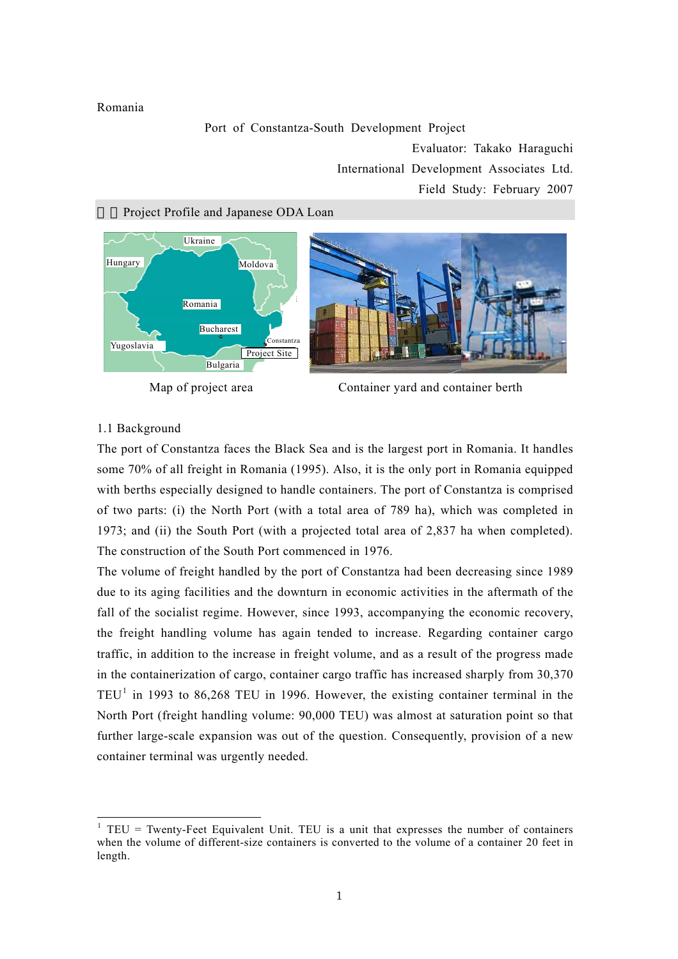### Romania

#### Port of Constantza-South Development Project

Evaluator: Takako Haraguchi International Development Associates Ltd. Field Study: February 2007

#### Project Profile and Japanese ODA Loan







### 1.1 Background

The port of Constantza faces the Black Sea and is the largest port in Romania. It handles some 70% of all freight in Romania (1995). Also, it is the only port in Romania equipped with berths especially designed to handle containers. The port of Constantza is comprised of two parts: (i) the North Port (with a total area of 789 ha), which was completed in 1973; and (ii) the South Port (with a projected total area of 2,837 ha when completed). The construction of the South Port commenced in 1976.

The volume of freight handled by the port of Constantza had been decreasing since 1989 due to its aging facilities and the downturn in economic activities in the aftermath of the fall of the socialist regime. However, since 1993, accompanying the economic recovery, the freight handling volume has again tended to increase. Regarding container cargo traffic, in addition to the increase in freight volume, and as a result of the progress made in the containerization of cargo, container cargo traffic has increased sharply from 30,370  $TEU<sup>1</sup>$  $TEU<sup>1</sup>$  $TEU<sup>1</sup>$  in 1993 to 86,268 TEU in 1996. However, the existing container terminal in the North Port (freight handling volume: 90,000 TEU) was almost at saturation point so that further large-scale expansion was out of the question. Consequently, provision of a new container terminal was urgently needed.

<span id="page-0-0"></span><sup>&</sup>lt;sup>1</sup> TEU = Twenty-Feet Equivalent Unit. TEU is a unit that expresses the number of containers when the volume of different-size containers is converted to the volume of a container 20 feet in length.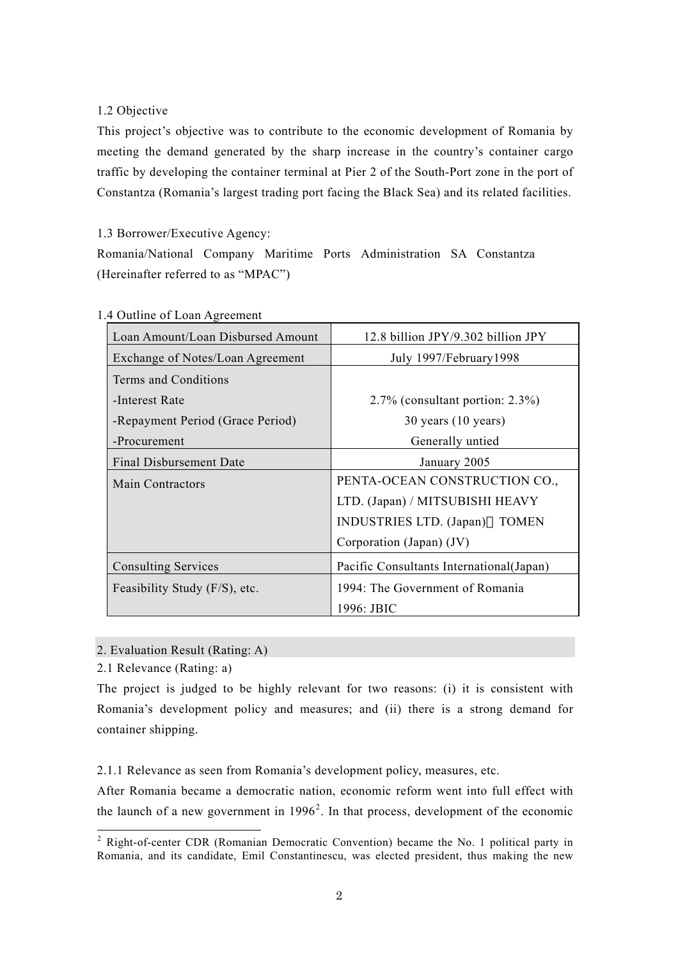# 1.2 Objective

This project's objective was to contribute to the economic development of Romania by meeting the demand generated by the sharp increase in the country's container cargo traffic by developing the container terminal at Pier 2 of the South-Port zone in the port of Constantza (Romania's largest trading port facing the Black Sea) and its related facilities.

# 1.3 Borrower/Executive Agency:

Romania/National Company Maritime Ports Administration SA Constantza (Hereinafter referred to as "MPAC")

| Loan Amount/Loan Disbursed Amount | 12.8 billion JPY/9.302 billion JPY        |  |
|-----------------------------------|-------------------------------------------|--|
| Exchange of Notes/Loan Agreement  | July 1997/February 1998                   |  |
| Terms and Conditions              |                                           |  |
| -Interest Rate                    | $2.7\%$ (consultant portion: 2.3%)        |  |
| -Repayment Period (Grace Period)  | $30$ years $(10$ years)                   |  |
| -Procurement                      | Generally untied                          |  |
| Final Disbursement Date           | January 2005                              |  |
| <b>Main Contractors</b>           | PENTA-OCEAN CONSTRUCTION CO.,             |  |
|                                   | LTD. (Japan) / MITSUBISHI HEAVY           |  |
|                                   | INDUSTRIES LTD. (Japan)<br><b>TOMEN</b>   |  |
|                                   | Corporation (Japan) (JV)                  |  |
| <b>Consulting Services</b>        | Pacific Consultants International (Japan) |  |
| Feasibility Study (F/S), etc.     | 1994: The Government of Romania           |  |
|                                   | 1996: JBIC                                |  |

1.4 Outline of Loan Agreement

2. Evaluation Result (Rating: A)

2.1 Relevance (Rating: a)

The project is judged to be highly relevant for two reasons: (i) it is consistent with Romania's development policy and measures; and (ii) there is a strong demand for container shipping.

2.1.1 Relevance as seen from Romania's development policy, measures, etc.

After Romania became a democratic nation, economic reform went into full effect with the launch of a new government in  $1996<sup>2</sup>$  $1996<sup>2</sup>$  $1996<sup>2</sup>$ . In that process, development of the economic

<span id="page-1-0"></span><sup>&</sup>lt;sup>2</sup> Right-of-center CDR (Romanian Democratic Convention) became the No. 1 political party in Romania, and its candidate, Emil Constantinescu, was elected president, thus making the new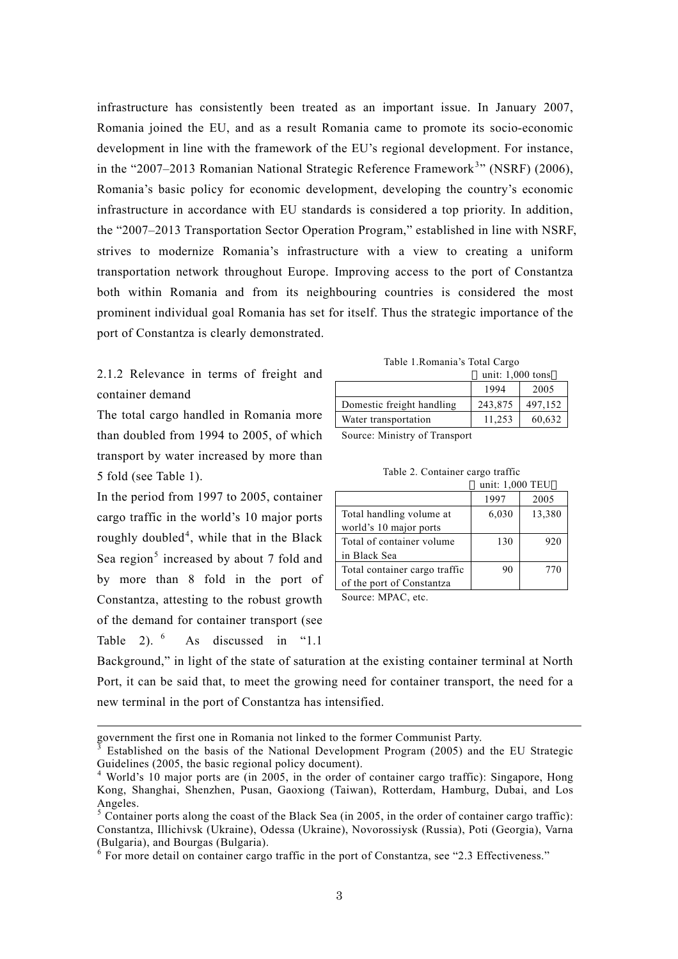infrastructure has consistently been treated as an important issue. In January 2007, Romania joined the EU, and as a result Romania came to promote its socio-economic development in line with the framework of the EU's regional development. For instance, in the "2007–201[3](#page-2-0) Romanian National Strategic Reference Framework<sup>3</sup>" (NSRF) (2006), Romania's basic policy for economic development, developing the country's economic infrastructure in accordance with EU standards is considered a top priority. In addition, the "2007–2013 Transportation Sector Operation Program," established in line with NSRF, strives to modernize Romania's infrastructure with a view to creating a uniform transportation network throughout Europe. Improving access to the port of Constantza both within Romania and from its neighbouring countries is considered the most prominent individual goal Romania has set for itself. Thus the strategic importance of the port of Constantza is clearly demonstrated.

2.1.2 Relevance in terms of freight and container demand

The total cargo handled in Romania more than doubled from 1994 to 2005, of which transport by water increased by more than 5 fold (see Table 1).

In the period from 1997 to 2005, container cargo traffic in the world's 10 major ports roughly doubled<sup>[4](#page-2-1)</sup>, while that in the Black Sea region<sup>[5](#page-2-2)</sup> increased by about 7 fold and by more than 8 fold in the port of Constantza, attesting to the robust growth of the demand for container transport (see Table 2[\).](#page-2-3) <sup>6</sup> As discussed in "1.1"

-

Table 1.Romania's Total Cargo

|                           | unit: $1,000$ tons |         |  |
|---------------------------|--------------------|---------|--|
|                           | 1994               | 2005    |  |
| Domestic freight handling | 243,875            | 497,152 |  |
| Water transportation      | 11.253             | 60,632  |  |

Source: Ministry of Transport

|                               | unit: 1,000 TEU |        |  |
|-------------------------------|-----------------|--------|--|
|                               | 1997            | 2005   |  |
| Total handling volume at      | 6,030           | 13,380 |  |
| world's 10 major ports        |                 |        |  |
| Total of container volume     | 130             | 920    |  |
| in Black Sea                  |                 |        |  |
| Total container cargo traffic | 90              | 770    |  |
| of the port of Constantza     |                 |        |  |

Source: MPAC, etc.

Background," in light of the state of saturation at the existing container terminal at North Port, it can be said that, to meet the growing need for container transport, the need for a new terminal in the port of Constantza has intensified.

government the first one in Romania not linked to the former Communist Party. <sup>3</sup>

<span id="page-2-0"></span>Established on the basis of the National Development Program (2005) and the EU Strategic Guidelines (2005, the basic regional policy document).<br><sup>4</sup> World's 10 major ports are (in 2005, in the order of container cargo traffic): Singapore, Hong

<span id="page-2-1"></span>Kong, Shanghai, Shenzhen, Pusan, Gaoxiong (Taiwan), Rotterdam, Hamburg, Dubai, and Los Angeles.

<span id="page-2-2"></span> $5$  Container ports along the coast of the Black Sea (in 2005, in the order of container cargo traffic): Constantza, Illichivsk (Ukraine), Odessa (Ukraine), Novorossiysk (Russia), Poti (Georgia), Varna (Bulgaria), and Bourgas (Bulgaria). 6

<span id="page-2-3"></span> $\delta$  For more detail on container cargo traffic in the port of Constantza, see "2.3 Effectiveness."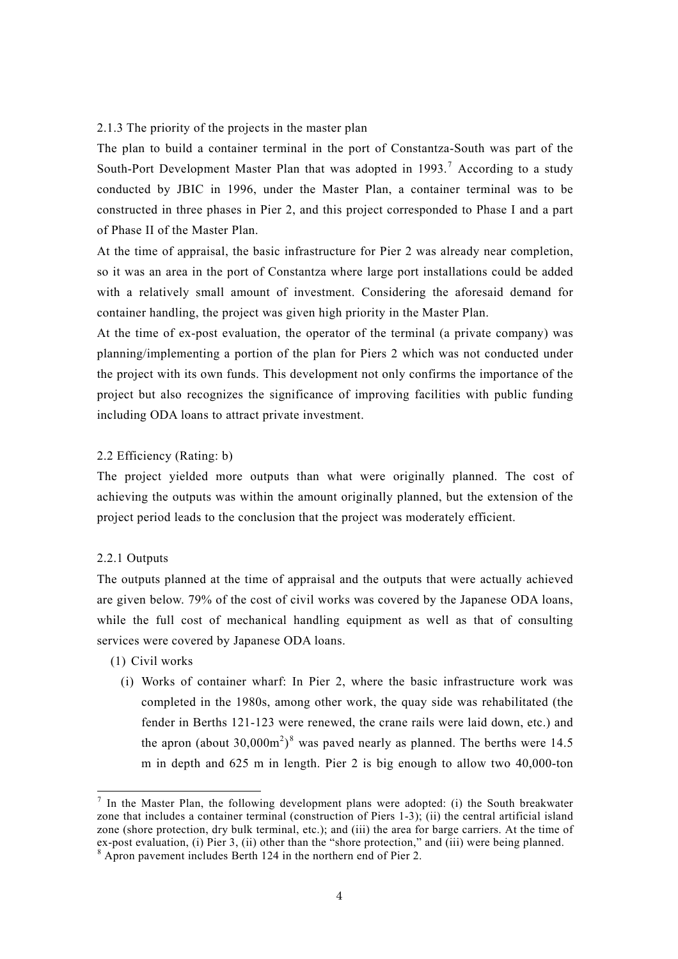#### 2.1.3 The priority of the projects in the master plan

The plan to build a container terminal in the port of Constantza-South was part of the South-Port Development Master Plan that was adopted in  $1993$ .<sup>[7](#page-3-0)</sup> According to a study conducted by JBIC in 1996, under the Master Plan, a container terminal was to be constructed in three phases in Pier 2, and this project corresponded to Phase I and a part of Phase II of the Master Plan.

At the time of appraisal, the basic infrastructure for Pier 2 was already near completion, so it was an area in the port of Constantza where large port installations could be added with a relatively small amount of investment. Considering the aforesaid demand for container handling, the project was given high priority in the Master Plan.

At the time of ex-post evaluation, the operator of the terminal (a private company) was planning/implementing a portion of the plan for Piers 2 which was not conducted under the project with its own funds. This development not only confirms the importance of the project but also recognizes the significance of improving facilities with public funding including ODA loans to attract private investment.

## 2.2 Efficiency (Rating: b)

The project yielded more outputs than what were originally planned. The cost of achieving the outputs was within the amount originally planned, but the extension of the project period leads to the conclusion that the project was moderately efficient.

#### 2.2.1 Outputs

The outputs planned at the time of appraisal and the outputs that were actually achieved are given below. 79% of the cost of civil works was covered by the Japanese ODA loans, while the full cost of mechanical handling equipment as well as that of consulting services were covered by Japanese ODA loans.

- (1) Civil works
	- (i) Works of container wharf: In Pier 2, where the basic infrastructure work was completed in the 1980s, among other work, the quay side was rehabilitated (the fender in Berths 121-123 were renewed, the crane rails were laid down, etc.) and the apron (about 30,000 $\text{m}^2$ )<sup>[8](#page-3-1)</sup> was paved nearly as planned. The berths were 14.5 m in depth and 625 m in length. Pier 2 is big enough to allow two 40,000-ton

<span id="page-3-0"></span><sup>&</sup>lt;sup>7</sup> In the Master Plan, the following development plans were adopted: (i) the South breakwater zone that includes a container terminal (construction of Piers 1-3); (ii) the central artificial island zone (shore protection, dry bulk terminal, etc.); and (iii) the area for barge carriers. At the time of ex-post evaluation, (i) Pier 3, (ii) other than the "shore protection," and (iii) were being planned.<br><sup>8</sup> Apron pavement includes Berth 124 in the northern end of Pier 2.

<span id="page-3-1"></span>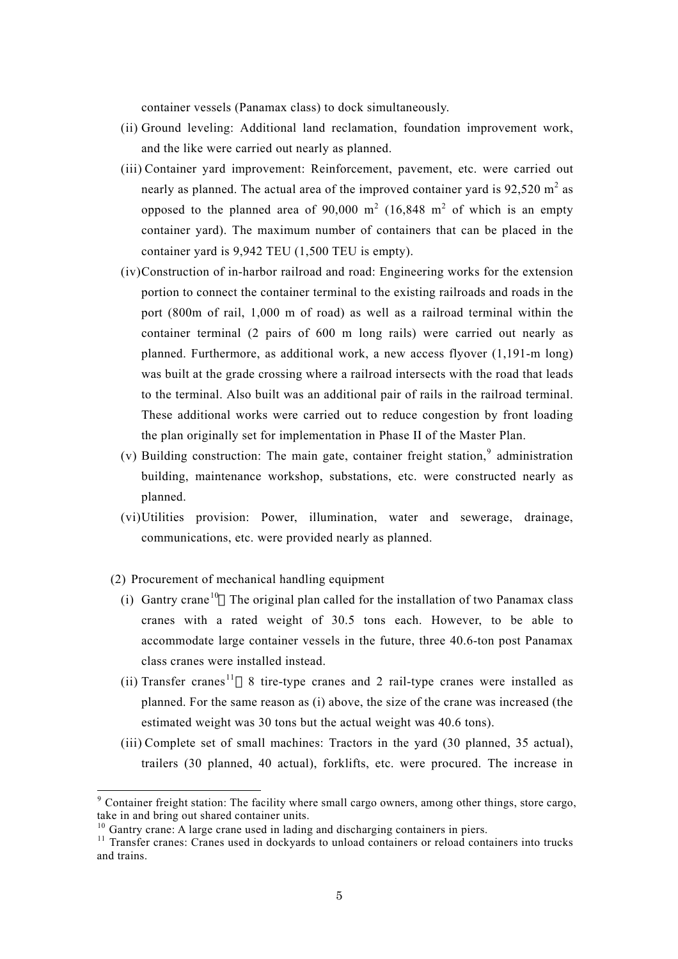container vessels (Panamax class) to dock simultaneously.

- (ii) Ground leveling: Additional land reclamation, foundation improvement work, and the like were carried out nearly as planned.
- (iii) Container yard improvement: Reinforcement, pavement, etc. were carried out nearly as planned. The actual area of the improved container yard is  $92{,}520$  m<sup>2</sup> as opposed to the planned area of 90,000 m<sup>2</sup> (16,848 m<sup>2</sup> of which is an empty container yard). The maximum number of containers that can be placed in the container yard is 9,942 TEU (1,500 TEU is empty).
- (iv)Construction of in-harbor railroad and road: Engineering works for the extension portion to connect the container terminal to the existing railroads and roads in the port (800m of rail, 1,000 m of road) as well as a railroad terminal within the container terminal (2 pairs of 600 m long rails) were carried out nearly as planned. Furthermore, as additional work, a new access flyover (1,191-m long) was built at the grade crossing where a railroad intersects with the road that leads to the terminal. Also built was an additional pair of rails in the railroad terminal. These additional works were carried out to reduce congestion by front loading the plan originally set for implementation in Phase II of the Master Plan.
- (v) Building construction: The main gate, container freight station, $9$  administration building, maintenance workshop, substations, etc. were constructed nearly as planned.
- (vi)Utilities provision: Power, illumination, water and sewerage, drainage, communications, etc. were provided nearly as planned.
- (2) Procurement of mechanical handling equipment
	- (i) Gantry crane<sup>[10](#page-4-1)</sup> The original plan called for the installation of two Panamax class cranes with a rated weight of 30.5 tons each. However, to be able to accommodate large container vessels in the future, three 40.6-ton post Panamax class cranes were installed instead.
	- (ii) Transfer cranes<sup>[11](#page-4-2)</sup> 8 tire-type cranes and 2 rail-type cranes were installed as planned. For the same reason as (i) above, the size of the crane was increased (the estimated weight was 30 tons but the actual weight was 40.6 tons).
	- (iii) Complete set of small machines: Tractors in the yard (30 planned, 35 actual), trailers (30 planned, 40 actual), forklifts, etc. were procured. The increase in

<span id="page-4-0"></span><sup>&</sup>lt;sup>9</sup> Container freight station: The facility where small cargo owners, among other things, store cargo, take in and bring out shared container units.<br><sup>10</sup> Gantry crane: A large crane used in lading and discharging containers in piers.<br><sup>11</sup> Transfer cranes: Cranes used in dockyards to unload containers or reload containers in

<span id="page-4-1"></span>

<span id="page-4-2"></span>and trains.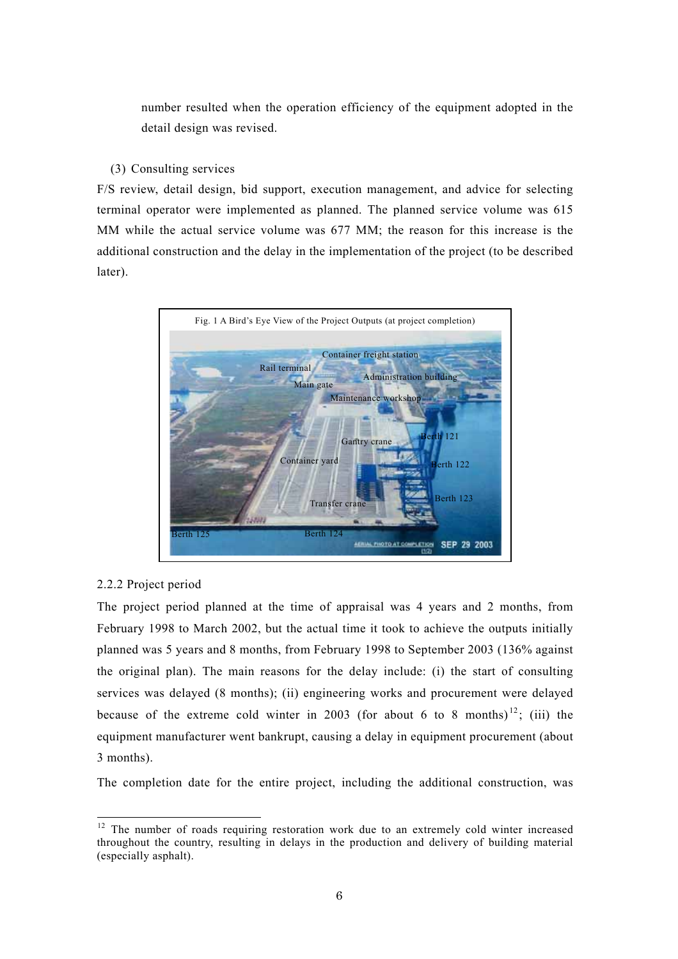number resulted when the operation efficiency of the equipment adopted in the detail design was revised.

## (3) Consulting services

F/S review, detail design, bid support, execution management, and advice for selecting terminal operator were implemented as planned. The planned service volume was 615 MM while the actual service volume was 677 MM; the reason for this increase is the additional construction and the delay in the implementation of the project (to be described later).



## 2.2.2 Project period

The project period planned at the time of appraisal was 4 years and 2 months, from February 1998 to March 2002, but the actual time it took to achieve the outputs initially planned was 5 years and 8 months, from February 1998 to September 2003 (136% against the original plan). The main reasons for the delay include: (i) the start of consulting services was delayed (8 months); (ii) engineering works and procurement were delayed because of the extreme cold winter in 2003 (for about 6 to 8 months)<sup>[12](#page-5-0)</sup>; (iii) the equipment manufacturer went bankrupt, causing a delay in equipment procurement (about 3 months).

The completion date for the entire project, including the additional construction, was

<span id="page-5-0"></span><sup>&</sup>lt;sup>12</sup> The number of roads requiring restoration work due to an extremely cold winter increased throughout the country, resulting in delays in the production and delivery of building material (especially asphalt).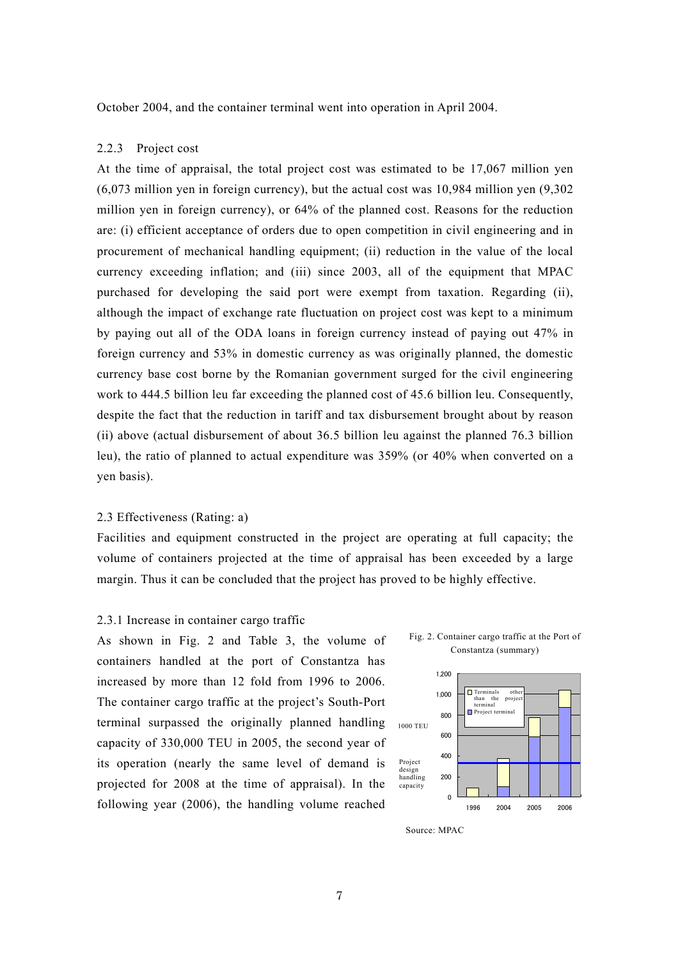October 2004, and the container terminal went into operation in April 2004.

## 2.2.3 Project cost

At the time of appraisal, the total project cost was estimated to be 17,067 million yen (6,073 million yen in foreign currency), but the actual cost was 10,984 million yen (9,302 million yen in foreign currency), or 64% of the planned cost. Reasons for the reduction are: (i) efficient acceptance of orders due to open competition in civil engineering and in procurement of mechanical handling equipment; (ii) reduction in the value of the local currency exceeding inflation; and (iii) since 2003, all of the equipment that MPAC purchased for developing the said port were exempt from taxation. Regarding (ii), although the impact of exchange rate fluctuation on project cost was kept to a minimum by paying out all of the ODA loans in foreign currency instead of paying out 47% in foreign currency and 53% in domestic currency as was originally planned, the domestic currency base cost borne by the Romanian government surged for the civil engineering work to 444.5 billion leu far exceeding the planned cost of 45.6 billion leu. Consequently, despite the fact that the reduction in tariff and tax disbursement brought about by reason (ii) above (actual disbursement of about 36.5 billion leu against the planned 76.3 billion leu), the ratio of planned to actual expenditure was 359% (or 40% when converted on a yen basis).

#### 2.3 Effectiveness (Rating: a)

Facilities and equipment constructed in the project are operating at full capacity; the volume of containers projected at the time of appraisal has been exceeded by a large margin. Thus it can be concluded that the project has proved to be highly effective.

#### 2.3.1 Increase in container cargo traffic

As shown in Fig. 2 and Table 3, the volume of containers handled at the port of Constantza has increased by more than 12 fold from 1996 to 2006. The container cargo traffic at the project's South-Port terminal surpassed the originally planned handling capacity of 330,000 TEU in 2005, the second year of its operation (nearly the same level of demand is projected for 2008 at the time of appraisal). In the following year (2006), the handling volume reached





Source: MPAC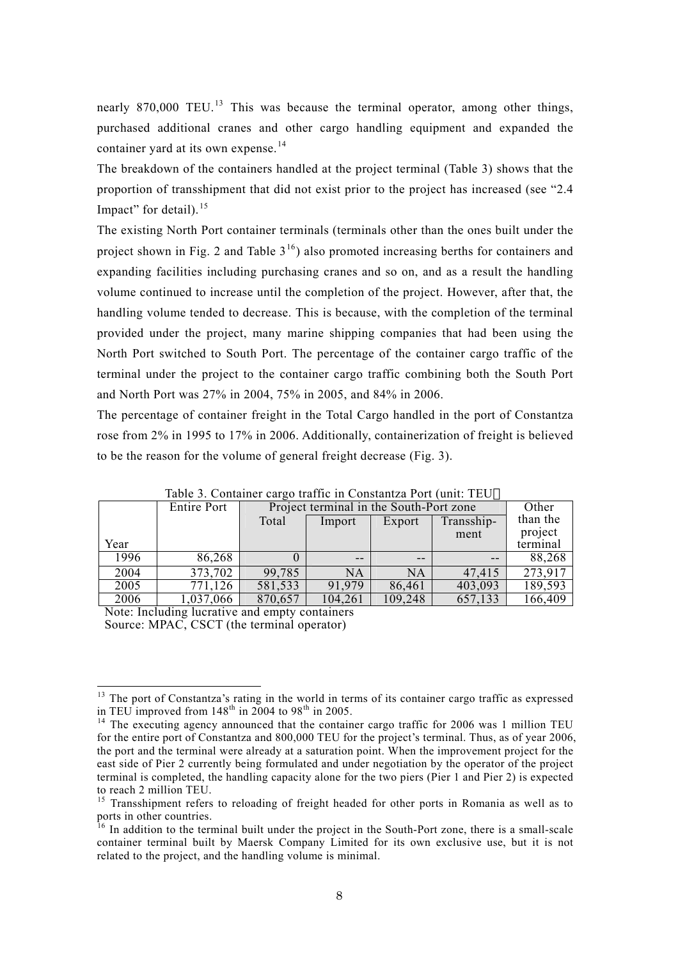nearly 870,000 TEU.<sup>13</sup> This was because the terminal operator, among other things, purchased additional cranes and other cargo handling equipment and expanded the container yard at its own expense.<sup>[14](#page-7-1)</sup>

The breakdown of the containers handled at the project terminal (Table 3) shows that the proportion of transshipment that did not exist prior to the project has increased (see "2.4 Impact" for detail).<sup>15</sup>

The existing North Port container terminals (terminals other than the ones built under the project shown in Fig. 2 and Table  $3^{16}$ ) also promoted increasing berths for containers and expanding facilities including purchasing cranes and so on, and as a result the handling volume continued to increase until the completion of the project. However, after that, the handling volume tended to decrease. This is because, with the completion of the terminal provided under the project, many marine shipping companies that had been using the North Port switched to South Port. The percentage of the container cargo traffic of the terminal under the project to the container cargo traffic combining both the South Port and North Port was 27% in 2004, 75% in 2005, and 84% in 2006.

The percentage of container freight in the Total Cargo handled in the port of Constantza rose from 2% in 1995 to 17% in 2006. Additionally, containerization of freight is believed to be the reason for the volume of general freight decrease (Fig. 3).

|      | Taoit 9. Containtí targo traille in Constantza i oit faint. TEO |         |                                         |         |            |          |
|------|-----------------------------------------------------------------|---------|-----------------------------------------|---------|------------|----------|
|      | Entire Port                                                     |         | Project terminal in the South-Port zone |         |            | Other    |
|      |                                                                 | Total   | Import                                  | Export  | Transship- | than the |
|      |                                                                 |         |                                         |         | ment       | project  |
| Year |                                                                 |         |                                         |         |            | terminal |
| 1996 | 86,268                                                          |         | $- -$                                   | $- -$   | $- -$      | 88,268   |
| 2004 | 373,702                                                         | 99,785  | NA                                      | NA      | 47,415     | 273,917  |
| 2005 | 771,126                                                         | 581,533 | 91,979                                  | 86,461  | 403,093    | 189,593  |
| 2006 | 1,037,066                                                       | 870,657 | 104,261                                 | 109,248 | 657,133    | 166,409  |

Table 3. Container cargo traffic in Constantza Port (unit: TEU

Note: Including lucrative and empty containers Source: MPAC, CSCT (the terminal operator)

<span id="page-7-0"></span><sup>&</sup>lt;sup>13</sup> The port of Constantza's rating in the world in terms of its container cargo traffic as expressed in TEU improved from  $148^{\text{th}}$  in 2004 to  $98^{\text{th}}$  in 2005.<br><sup>14</sup> The executing agency announced that the container cargo traffic for 2006 was 1 million TEU

<span id="page-7-1"></span>for the entire port of Constantza and 800,000 TEU for the project's terminal. Thus, as of year 2006, the port and the terminal were already at a saturation point. When the improvement project for the east side of Pier 2 currently being formulated and under negotiation by the operator of the project terminal is completed, the handling capacity alone for the two piers (Pier 1 and Pier 2) is expected

<span id="page-7-2"></span> $15$  Transshipment refers to reloading of freight headed for other ports in Romania as well as to ports in other countries.

<span id="page-7-3"></span> $16$  In addition to the terminal built under the project in the South-Port zone, there is a small-scale container terminal built by Maersk Company Limited for its own exclusive use, but it is not related to the project, and the handling volume is minimal.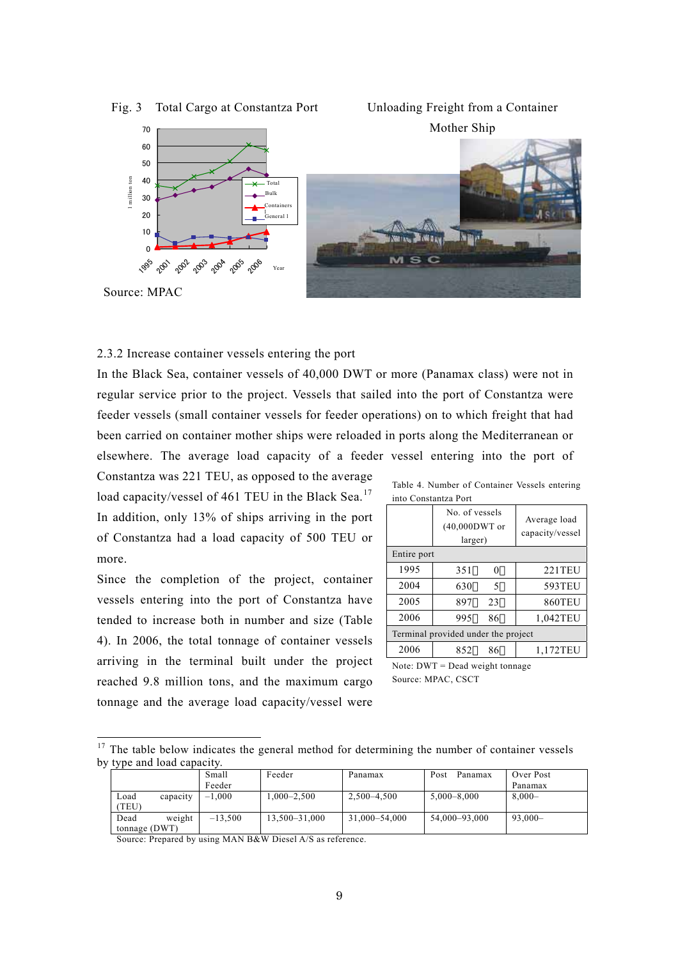

Fig. 3 Total Cargo at Constantza Port





Source: MPAC

### 2.3.2 Increase container vessels entering the port

In the Black Sea, container vessels of 40,000 DWT or more (Panamax class) were not in regular service prior to the project. Vessels that sailed into the port of Constantza were feeder vessels (small container vessels for feeder operations) on to which freight that had been carried on container mother ships were reloaded in ports along the Mediterranean or elsewhere. The average load capacity of a feeder vessel entering into the port of

Constantza was 221 TEU, as opposed to the average load capacity/vessel of 461 TEU in the Black Sea.<sup>17</sup> In addition, only 13% of ships arriving in the port of Constantza had a load capacity of 500 TEU or more.

Since the completion of the project, container vessels entering into the port of Constantza have tended to increase both in number and size (Table 4). In 2006, the total tonnage of container vessels arriving in the terminal built under the project reached 9.8 million tons, and the maximum cargo tonnage and the average load capacity/vessel were

| Table 4. Number of Container Vessels entering |  |
|-----------------------------------------------|--|
| into Constantza Port                          |  |

| нно Сонманила і он                  |                                              |    |                                 |
|-------------------------------------|----------------------------------------------|----|---------------------------------|
|                                     | No. of vessels<br>$(40,000DWT$ or<br>larger) |    | Average load<br>capacity/vessel |
| Entire port                         |                                              |    |                                 |
| 1995                                | 351                                          | 0  | 221TEU                          |
| 2004                                | 630                                          | 5  | 593TEU                          |
| 2005                                | 897                                          | 23 | <b>860TEU</b>                   |
| 2006                                | 995                                          | 86 | 1,042TEU                        |
| Terminal provided under the project |                                              |    |                                 |
| 2006                                | 852                                          | 86 | 1,172TEU                        |

Note: DWT = Dead weight tonnage Source: MPAC, CSCT

<span id="page-8-0"></span><sup>&</sup>lt;sup>17</sup> The table below indicates the general method for determining the number of container vessels by type and load capacity.

|      |               | Small     | Feeder          | Panamax         | Post<br>Panamax | Over Post  |
|------|---------------|-----------|-----------------|-----------------|-----------------|------------|
|      |               | Feeder    |                 |                 |                 | Panamax    |
| Load | capacity      | $-1.000$  | $1.000 - 2.500$ | $2.500 - 4.500$ | $5.000 - 8.000$ | $8.000 -$  |
| TEU) |               |           |                 |                 |                 |            |
| Dead | weight        | $-13.500$ | 13,500-31,000   | 31.000-54.000   | 54.000-93.000   | $93.000 -$ |
|      | tonnage (DWT) |           |                 |                 |                 |            |

Source: Prepared by using MAN B&W Diesel A/S as reference.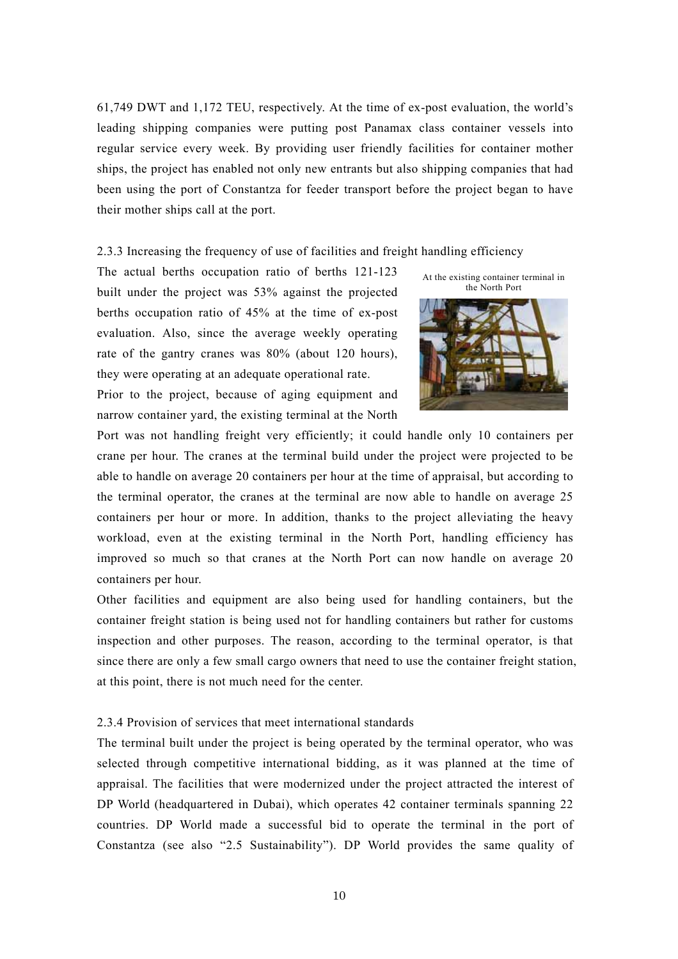61,749 DWT and 1,172 TEU, respectively. At the time of ex-post evaluation, the world's leading shipping companies were putting post Panamax class container vessels into regular service every week. By providing user friendly facilities for container mother ships, the project has enabled not only new entrants but also shipping companies that had been using the port of Constantza for feeder transport before the project began to have their mother ships call at the port.

2.3.3 Increasing the frequency of use of facilities and freight handling efficiency

The actual berths occupation ratio of berths 121-123 built under the project was 53% against the projected berths occupation ratio of 45% at the time of ex-post evaluation. Also, since the average weekly operating rate of the gantry cranes was 80% (about 120 hours), they were operating at an adequate operational rate.

Prior to the project, because of aging equipment and narrow container yard, the existing terminal at the North





Port was not handling freight very efficiently; it could handle only 10 containers per crane per hour. The cranes at the terminal build under the project were projected to be able to handle on average 20 containers per hour at the time of appraisal, but according to the terminal operator, the cranes at the terminal are now able to handle on average 25 containers per hour or more. In addition, thanks to the project alleviating the heavy workload, even at the existing terminal in the North Port, handling efficiency has improved so much so that cranes at the North Port can now handle on average 20 containers per hour.

Other facilities and equipment are also being used for handling containers, but the container freight station is being used not for handling containers but rather for customs inspection and other purposes. The reason, according to the terminal operator, is that since there are only a few small cargo owners that need to use the container freight station, at this point, there is not much need for the center.

## 2.3.4 Provision of services that meet international standards

The terminal built under the project is being operated by the terminal operator, who was selected through competitive international bidding, as it was planned at the time of appraisal. The facilities that were modernized under the project attracted the interest of DP World (headquartered in Dubai), which operates 42 container terminals spanning 22 countries. DP World made a successful bid to operate the terminal in the port of Constantza (see also "2.5 Sustainability"). DP World provides the same quality of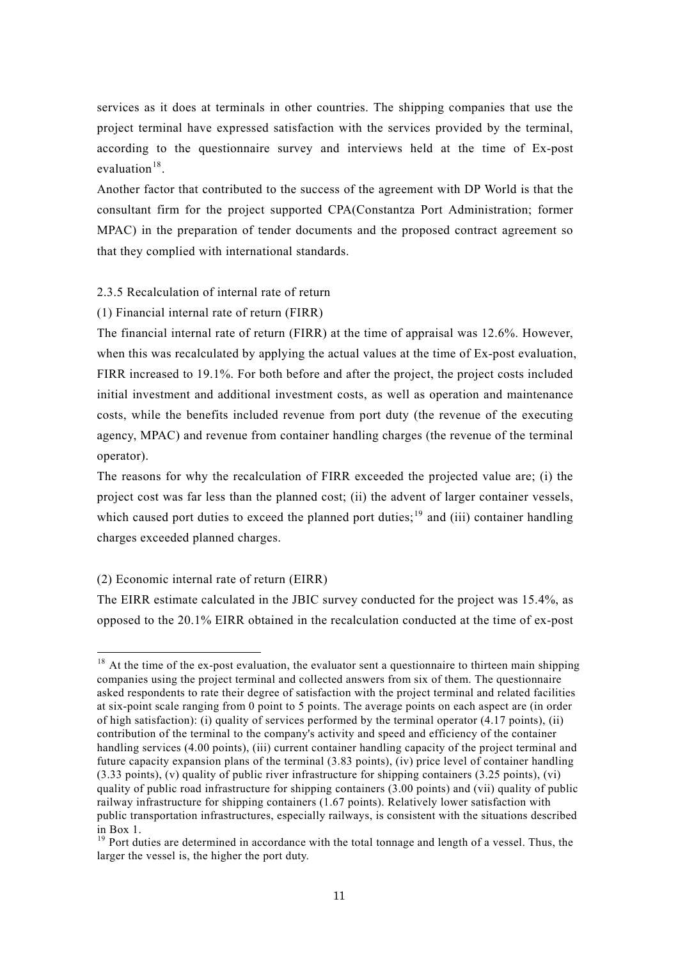services as it does at terminals in other countries. The shipping companies that use the project terminal have expressed satisfaction with the services provided by the terminal, according to the questionnaire survey and interviews held at the time of Ex-post evaluation $18$ .

Another factor that contributed to the success of the agreement with DP World is that the consultant firm for the project supported CPA(Constantza Port Administration; former MPAC) in the preparation of tender documents and the proposed contract agreement so that they complied with international standards.

## 2.3.5 Recalculation of internal rate of return

(1) Financial internal rate of return (FIRR)

The financial internal rate of return (FIRR) at the time of appraisal was 12.6%. However, when this was recalculated by applying the actual values at the time of Ex-post evaluation, FIRR increased to 19.1%. For both before and after the project, the project costs included initial investment and additional investment costs, as well as operation and maintenance costs, while the benefits included revenue from port duty (the revenue of the executing agency, MPAC) and revenue from container handling charges (the revenue of the terminal operator).

The reasons for why the recalculation of FIRR exceeded the projected value are; (i) the project cost was far less than the planned cost; (ii) the advent of larger container vessels, which caused port duties to exceed the planned port duties;<sup>19</sup> and (iii) container handling charges exceeded planned charges.

## (2) Economic internal rate of return (EIRR)

 $\overline{a}$ 

The EIRR estimate calculated in the JBIC survey conducted for the project was 15.4%, as opposed to the 20.1% EIRR obtained in the recalculation conducted at the time of ex-post

<span id="page-10-0"></span><sup>&</sup>lt;sup>18</sup> At the time of the ex-post evaluation, the evaluator sent a questionnaire to thirteen main shipping companies using the project terminal and collected answers from six of them. The questionnaire asked respondents to rate their degree of satisfaction with the project terminal and related facilities at six-point scale ranging from 0 point to 5 points. The average points on each aspect are (in order of high satisfaction): (i) quality of services performed by the terminal operator (4.17 points), (ii) contribution of the terminal to the company's activity and speed and efficiency of the container handling services (4.00 points), (iii) current container handling capacity of the project terminal and future capacity expansion plans of the terminal (3.83 points), (iv) price level of container handling (3.33 points), (v) quality of public river infrastructure for shipping containers (3.25 points), (vi) quality of public road infrastructure for shipping containers (3.00 points) and (vii) quality of public railway infrastructure for shipping containers (1.67 points). Relatively lower satisfaction with public transportation infrastructures, especially railways, is consistent with the situations described in Box 1.  $\frac{19}{19}$  Port duties are determined in accordance with the total tonnage and length of a vessel. Thus, the

<span id="page-10-1"></span>larger the vessel is, the higher the port duty.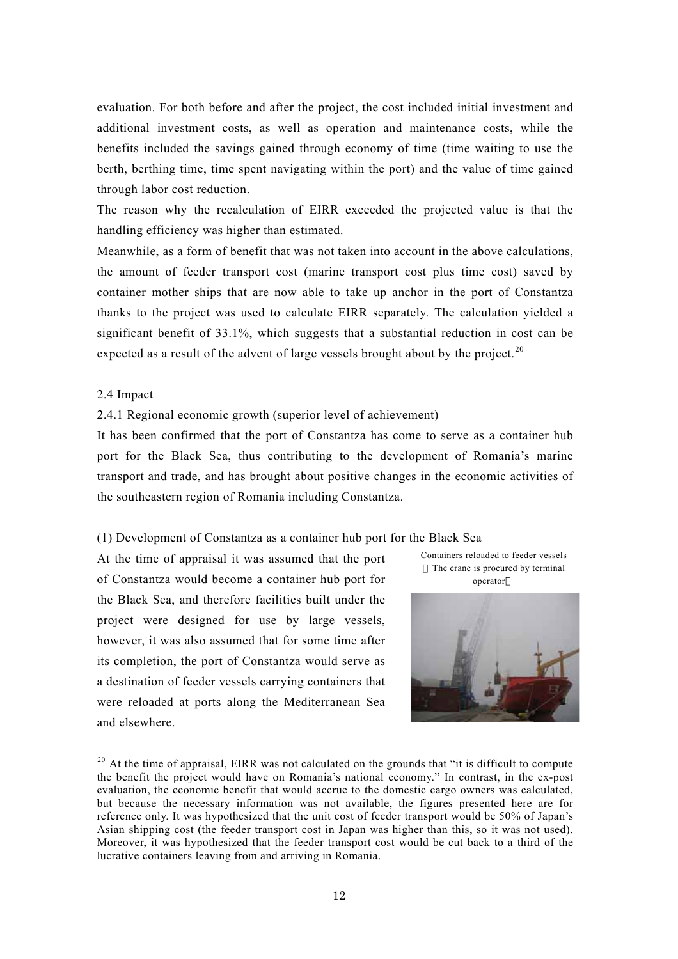evaluation. For both before and after the project, the cost included initial investment and additional investment costs, as well as operation and maintenance costs, while the benefits included the savings gained through economy of time (time waiting to use the berth, berthing time, time spent navigating within the port) and the value of time gained through labor cost reduction.

The reason why the recalculation of EIRR exceeded the projected value is that the handling efficiency was higher than estimated.

Meanwhile, as a form of benefit that was not taken into account in the above calculations, the amount of feeder transport cost (marine transport cost plus time cost) saved by container mother ships that are now able to take up anchor in the port of Constantza thanks to the project was used to calculate EIRR separately. The calculation yielded a significant benefit of 33.1%, which suggests that a substantial reduction in cost can be expected as a result of the advent of large vessels brought about by the project.<sup>20</sup>

#### 2.4 Impact

#### 2.4.1 Regional economic growth (superior level of achievement)

It has been confirmed that the port of Constantza has come to serve as a container hub port for the Black Sea, thus contributing to the development of Romania's marine transport and trade, and has brought about positive changes in the economic activities of the southeastern region of Romania including Constantza.

(1) Development of Constantza as a container hub port for the Black Sea

At the time of appraisal it was assumed that the port of Constantza would become a container hub port for the Black Sea, and therefore facilities built under the project were designed for use by large vessels, however, it was also assumed that for some time after its completion, the port of Constantza would serve as a destination of feeder vessels carrying containers that were reloaded at ports along the Mediterranean Sea and elsewhere.



<span id="page-11-0"></span>

<sup>&</sup>lt;sup>20</sup> At the time of appraisal, EIRR was not calculated on the grounds that "it is difficult to compute the benefit the project would have on Romania's national economy." In contrast, in the ex-post evaluation, the economic benefit that would accrue to the domestic cargo owners was calculated, but because the necessary information was not available, the figures presented here are for reference only. It was hypothesized that the unit cost of feeder transport would be 50% of Japan's Asian shipping cost (the feeder transport cost in Japan was higher than this, so it was not used). Moreover, it was hypothesized that the feeder transport cost would be cut back to a third of the lucrative containers leaving from and arriving in Romania.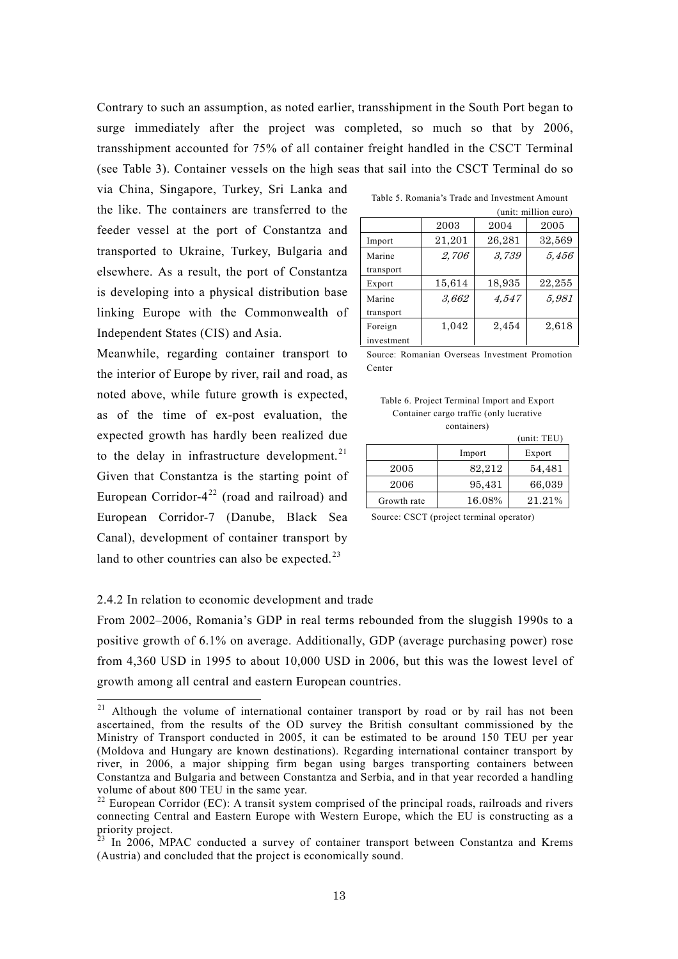Contrary to such an assumption, as noted earlier, transshipment in the South Port began to surge immediately after the project was completed, so much so that by 2006, transshipment accounted for 75% of all container freight handled in the CSCT Terminal (see Table 3). Container vessels on the high seas that sail into the CSCT Terminal do so

via China, Singapore, Turkey, Sri Lanka and the like. The containers are transferred to the feeder vessel at the port of Constantza and transported to Ukraine, Turkey, Bulgaria and elsewhere. As a result, the port of Constantza is developing into a physical distribution base linking Europe with the Commonwealth of Independent States (CIS) and Asia.

Meanwhile, regarding container transport to the interior of Europe by river, rail and road, as noted above, while future growth is expected, as of the time of ex-post evaluation, the expected growth has hardly been realized due to the delay in infrastructure developm[ent](#page-12-0).<sup>21</sup> Given that Constantza is the starting point of European Corridor- $4^{22}$  (road and railroad) and European Corridor-7 (Danube, Black Sea Canal), development of container transport by land to other countries can also be expected. $^{23}$ 

|            | (unit: million euro) |        |        |
|------------|----------------------|--------|--------|
|            | 2003                 | 2004   | 2005   |
| Import     | 21,201               | 26,281 | 32,569 |
| Marine     | 2,706                | 3,739  | 5,456  |
| transport  |                      |        |        |
| Export     | 15,614               | 18,935 | 22,255 |
| Marine     | 3,662                | 4,547  | 5,981  |
| transport  |                      |        |        |
| Foreign    | 1,042                | 2,454  | 2,618  |
| investment |                      |        |        |

Table 5. Romania's Trade and Investment Amount

Source: Romanian Overseas Investment Promotion Center

Table 6. Project Terminal Import and Export Container cargo traffic (only lucrative containers)

|             |        | (unit: TEU) |
|-------------|--------|-------------|
|             | Import | Export      |
| 2005        | 82,212 | 54,481      |
| 2006        | 95,431 | 66,039      |
| Growth rate | 16.08% | 21.21%      |

Source: CSCT (project terminal operator)

#### 2.4.2 In relation to economic development and trade

From 2002–2006, Romania's GDP in real terms rebounded from the sluggish 1990s to a positive growth of 6.1% on average. Additionally, GDP (average purchasing power) rose from 4,360 USD in 1995 to about 10,000 USD in 2006, but this was the lowest level of growth among all central and eastern European countries.

<span id="page-12-0"></span><sup>&</sup>lt;sup>21</sup> Although the volume of international container transport by road or by rail has not been ascertained, from the results of the OD survey the British consultant commissioned by the Ministry of Transport conducted in 2005, it can be estimated to be around 150 TEU per year (Moldova and Hungary are known destinations). Regarding international container transport by river, in 2006, a major shipping firm began using barges transporting containers between Constantza and Bulgaria and between Constantza and Serbia, and in that year recorded a handling volume of about 800 TEU in the same year.<br><sup>22</sup> European Corridor (EC): A transit system comprised of the principal roads, railroads and rivers

<span id="page-12-1"></span>connecting Central and Eastern Europe with Western Europe, which the EU is constructing as a priority project.<br><sup>23</sup> In 2006, MPAC conducted a survey of container transport between Constantza and Krems

<span id="page-12-2"></span><sup>(</sup>Austria) and concluded that the project is economically sound.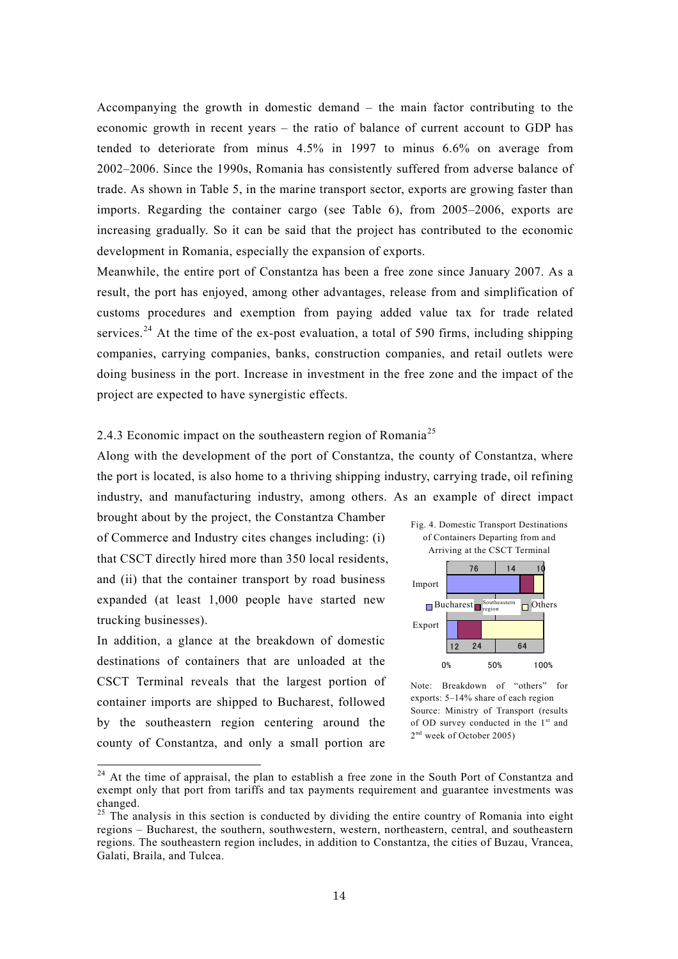Accompanying the growth in domestic demand – the main factor contributing to the economic growth in recent years – the ratio of balance of current account to GDP has tended to deteriorate from minus 4.5% in 1997 to minus 6.6% on average from 2002–2006. Since the 1990s, Romania has consistently suffered from adverse balance of trade. As shown in Table 5, in the marine transport sector, exports are growing faster than imports. Regarding the container cargo (see Table 6), from 2005–2006, exports are increasing gradually. So it can be said that the project has contributed to the economic development in Romania, especially the expansion of exports.

Meanwhile, the entire port of Constantza has been a free zone since January 2007. As a result, the port has enjoyed, among other advantages, release from and simplification of customs procedures and exemption from paying added value tax for trade related services.<sup>24</sup> At the time of the ex-post evaluation, a total of 590 firms, including shipping companies, carrying companies, banks, construction companies, and retail outlets were doing business in the port. Increase in investment in the free zone and the impact of the project are expected to have synergistic effects.

# 2.4.3 Economic impact on the southeastern region of Romania<sup>[25](#page-13-1)</sup>

Along with the development of the port of Constantza, the county of Constantza, where the port is located, is also home to a thriving shipping industry, carrying trade, oil refining industry, and manufacturing industry, among others. As an example of direct impact

brought about by the project, the Constantza Chamber of Commerce and Industry cites changes including: (i) that CSCT directly hired more than 350 local residents, and (ii) that the container transport by road business expanded (at least 1,000 people have started new trucking businesses).

In addition, a glance at the breakdown of domestic destinations of containers that are unloaded at the CSCT Terminal reveals that the largest portion of container imports are shipped to Bucharest, followed by the southeastern region centering around the county of Constantza, and only a small portion are



Note: Breakdown of "others" for exports: 5–14% share of each region Source: Ministry of Transport (results of OD survey conducted in the  $1<sup>st</sup>$  and 2<sup>nd</sup> week of October 2005)

<span id="page-13-0"></span><sup>&</sup>lt;sup>24</sup> At the time of appraisal, the plan to establish a free zone in the South Port of Constantza and exempt only that port from tariffs and tax payments requirement and guarantee investments was changed.

<span id="page-13-1"></span> $^{25}$  The analysis in this section is conducted by dividing the entire country of Romania into eight regions – Bucharest, the southern, southwestern, western, northeastern, central, and southeastern regions. The southeastern region includes, in addition to Constantza, the cities of Buzau, Vrancea, Galati, Braila, and Tulcea.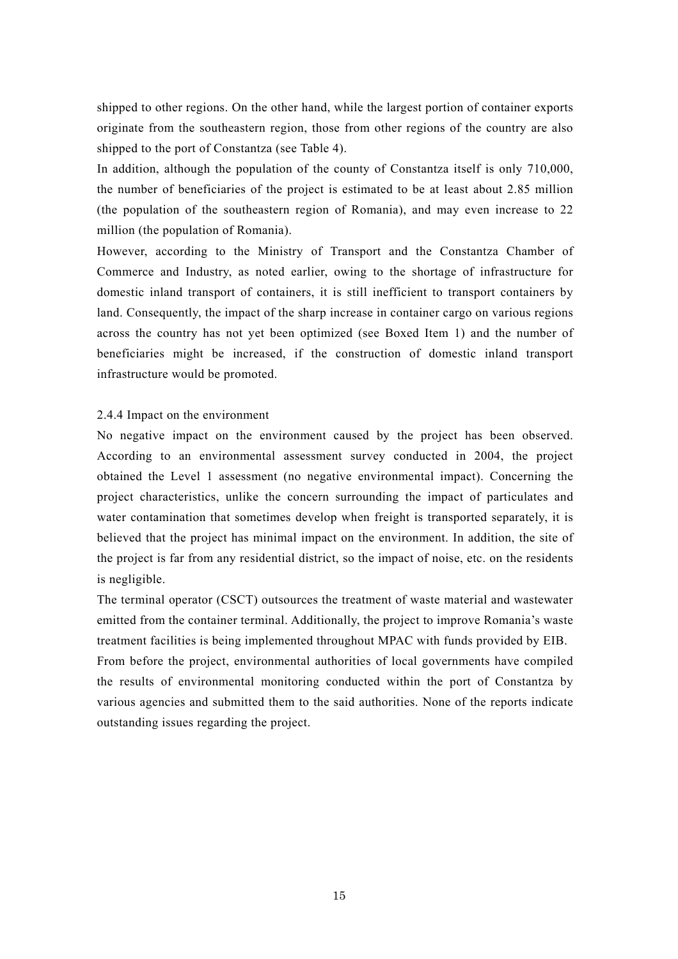shipped to other regions. On the other hand, while the largest portion of container exports originate from the southeastern region, those from other regions of the country are also shipped to the port of Constantza (see Table 4).

In addition, although the population of the county of Constantza itself is only 710,000, the number of beneficiaries of the project is estimated to be at least about 2.85 million (the population of the southeastern region of Romania), and may even increase to 22 million (the population of Romania).

However, according to the Ministry of Transport and the Constantza Chamber of Commerce and Industry, as noted earlier, owing to the shortage of infrastructure for domestic inland transport of containers, it is still inefficient to transport containers by land. Consequently, the impact of the sharp increase in container cargo on various regions across the country has not yet been optimized (see Boxed Item 1) and the number of beneficiaries might be increased, if the construction of domestic inland transport infrastructure would be promoted.

#### 2.4.4 Impact on the environment

No negative impact on the environment caused by the project has been observed. According to an environmental assessment survey conducted in 2004, the project obtained the Level 1 assessment (no negative environmental impact). Concerning the project characteristics, unlike the concern surrounding the impact of particulates and water contamination that sometimes develop when freight is transported separately, it is believed that the project has minimal impact on the environment. In addition, the site of the project is far from any residential district, so the impact of noise, etc. on the residents is negligible.

The terminal operator (CSCT) outsources the treatment of waste material and wastewater emitted from the container terminal. Additionally, the project to improve Romania's waste treatment facilities is being implemented throughout MPAC with funds provided by EIB. From before the project, environmental authorities of local governments have compiled the results of environmental monitoring conducted within the port of Constantza by various agencies and submitted them to the said authorities. None of the reports indicate outstanding issues regarding the project.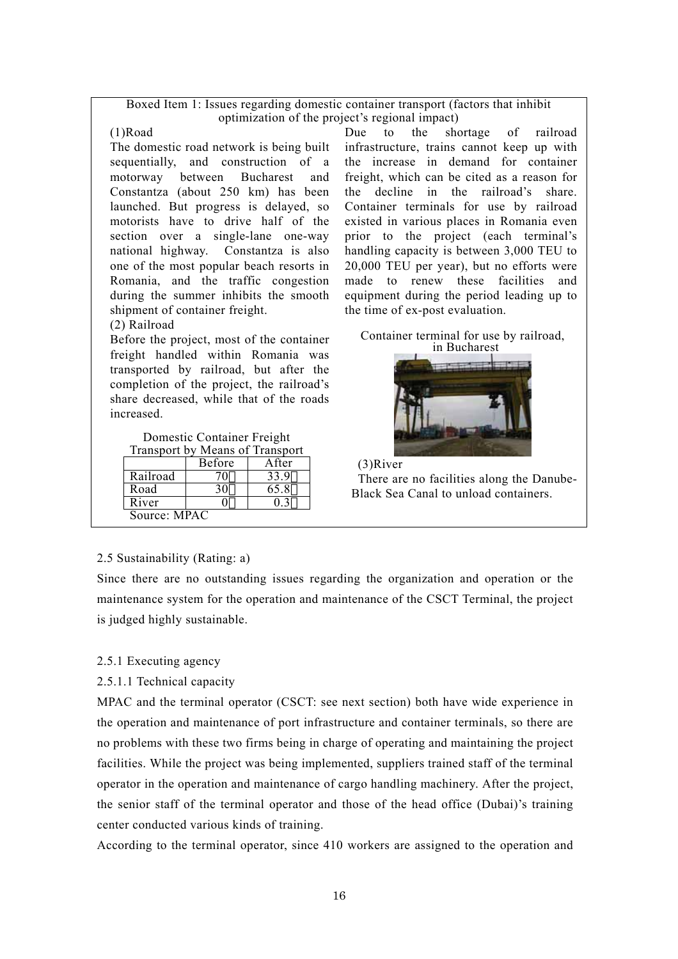## Boxed Item 1: Issues regarding domestic container transport (factors that inhibit optimization of the project's regional impact)

(1)Road

The domestic road network is being built sequentially, and construction of a motorway between Bucharest and Constantza (about 250 km) has been launched. But progress is delayed, so motorists have to drive half of the section over a single-lane one-way national highway. Constantza is also one of the most popular beach resorts in Romania, and the traffic congestion during the summer inhibits the smooth shipment of container freight.

## (2) Railroad

Before the project, most of the container freight handled within Romania was transported by railroad, but after the completion of the project, the railroad's share decreased, while that of the roads increased.

Domestic Container Freight Transport by Means of Transport

|                     | <b>Before</b> | After |  |
|---------------------|---------------|-------|--|
| Railroad            |               |       |  |
| Road                |               | 65 8  |  |
| $\overline{R}$ iver |               |       |  |
| Source: MPAC        |               |       |  |

Due to the shortage of railroad infrastructure, trains cannot keep up with the increase in demand for container freight, which can be cited as a reason for the decline in the railroad's share. Container terminals for use by railroad existed in various places in Romania even prior to the project (each terminal's handling capacity is between 3,000 TEU to 20,000 TEU per year), but no efforts were made to renew these facilities and equipment during the period leading up to the time of ex-post evaluation.

Container terminal for use by railroad, in Bucharest





# 2.5 Sustainability (Rating: a)

Since there are no outstanding issues regarding the organization and operation or the maintenance system for the operation and maintenance of the CSCT Terminal, the project is judged highly sustainable.

2.5.1 Executing agency

2.5.1.1 Technical capacity

MPAC and the terminal operator (CSCT: see next section) both have wide experience in the operation and maintenance of port infrastructure and container terminals, so there are no problems with these two firms being in charge of operating and maintaining the project facilities. While the project was being implemented, suppliers trained staff of the terminal operator in the operation and maintenance of cargo handling machinery. After the project, the senior staff of the terminal operator and those of the head office (Dubai)'s training center conducted various kinds of training.

According to the terminal operator, since 410 workers are assigned to the operation and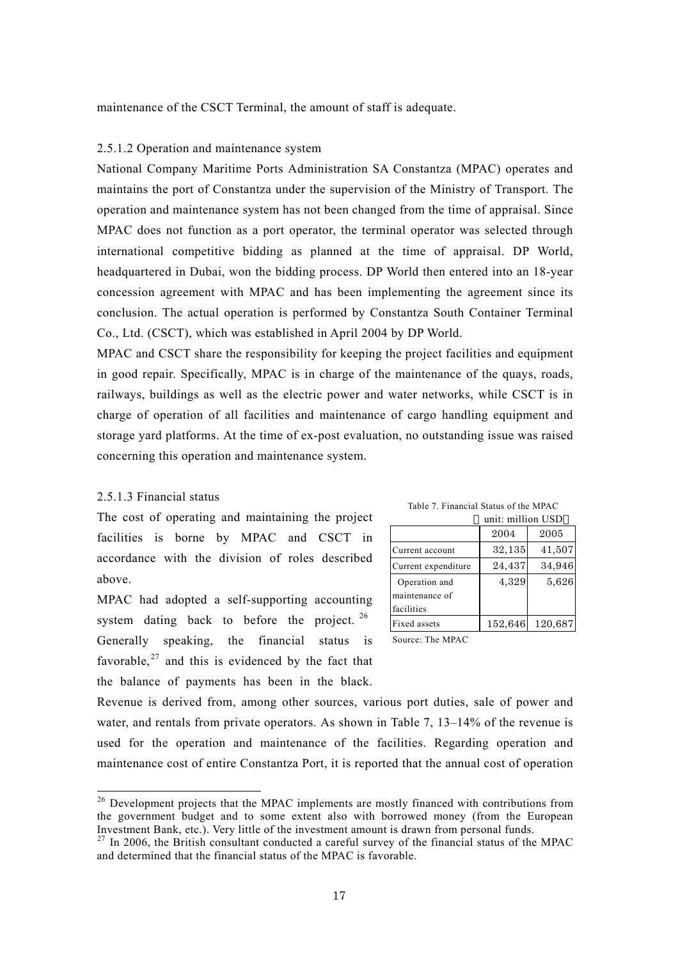maintenance of the CSCT Terminal, the amount of staff is adequate.

## 2.5.1.2 Operation and maintenance system

National Company Maritime Ports Administration SA Constantza (MPAC) operates and maintains the port of Constantza under the supervision of the Ministry of Transport. The operation and maintenance system has not been changed from the time of appraisal. Since MPAC does not function as a port operator, the terminal operator was selected through international competitive bidding as planned at the time of appraisal. DP World, headquartered in Dubai, won the bidding process. DP World then entered into an 18-year concession agreement with MPAC and has been implementing the agreement since its conclusion. The actual operation is performed by Constantza South Container Terminal Co., Ltd. (CSCT), which was established in April 2004 by DP World.

MPAC and CSCT share the responsibility for keeping the project facilities and equipment in good repair. Specifically, MPAC is in charge of the maintenance of the quays, roads, railways, buildings as well as the electric power and water networks, while CSCT is in charge of operation of all facilities and maintenance of cargo handling equipment and storage yard platforms. At the time of ex-post evaluation, no outstanding issue was raised concerning this operation and maintenance system.

### 2.5.1.3 Financial status

The cost of operating and maintaining the project facilities is borne by MPAC and CSCT in accordance with the division of roles described above.

MPAC had adopted a self-supporting accounting system dating back to before the pr[oje](#page-16-0)ct.  $26$ Generally speaking, the financial status is favorable, $27$  and this is evidenced by the fact that the balance of payments has been in the black.

|                     | unit: million USD |         |
|---------------------|-------------------|---------|
|                     | 2004              | 2005    |
| Current account     | 32,135            | 41,507  |
| Current expenditure | 24,437            | 34,946  |
| Operation and       | 4,329             | 5,626   |
| maintenance of      |                   |         |
| facilities          |                   |         |
| Fixed assets        | 152,646           | 120,687 |
|                     |                   |         |

Source: The MPAC

Revenue is derived from, among other sources, various port duties, sale of power and water, and rentals from private operators. As shown in Table 7, 13–14% of the revenue is used for the operation and maintenance of the facilities. Regarding operation and maintenance cost of entire Constantza Port, it is reported that the annual cost of operation

<span id="page-16-0"></span><sup>&</sup>lt;sup>26</sup> Development projects that the MPAC implements are mostly financed with contributions from the government budget and to some extent also with borrowed money (from the European Investment Bank, etc.). Very little of the investment amount is drawn from personal funds.<br><sup>27</sup> In 2006, the British consultant conducted a careful survey of the financial status of the MPAC

<span id="page-16-1"></span>and determined that the financial status of the MPAC is favorable.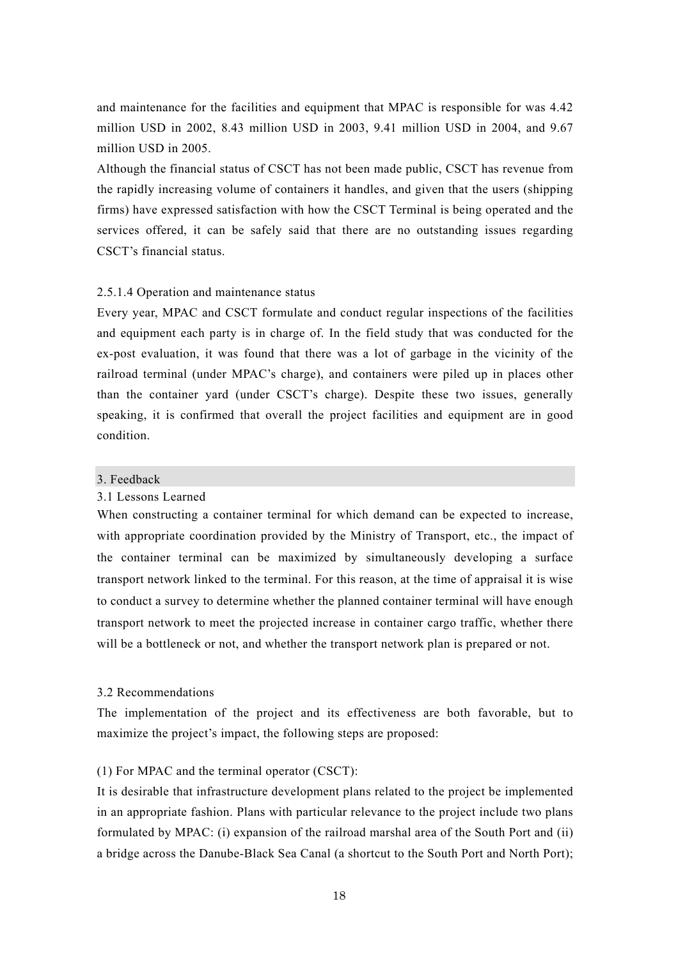and maintenance for the facilities and equipment that MPAC is responsible for was 4.42 million USD in 2002, 8.43 million USD in 2003, 9.41 million USD in 2004, and 9.67 million USD in 2005.

Although the financial status of CSCT has not been made public, CSCT has revenue from the rapidly increasing volume of containers it handles, and given that the users (shipping firms) have expressed satisfaction with how the CSCT Terminal is being operated and the services offered, it can be safely said that there are no outstanding issues regarding CSCT's financial status.

## 2.5.1.4 Operation and maintenance status

Every year, MPAC and CSCT formulate and conduct regular inspections of the facilities and equipment each party is in charge of. In the field study that was conducted for the ex-post evaluation, it was found that there was a lot of garbage in the vicinity of the railroad terminal (under MPAC's charge), and containers were piled up in places other than the container yard (under CSCT's charge). Despite these two issues, generally speaking, it is confirmed that overall the project facilities and equipment are in good condition.

### 3. Feedback

# 3.1 Lessons Learned

When constructing a container terminal for which demand can be expected to increase, with appropriate coordination provided by the Ministry of Transport, etc., the impact of the container terminal can be maximized by simultaneously developing a surface transport network linked to the terminal. For this reason, at the time of appraisal it is wise to conduct a survey to determine whether the planned container terminal will have enough transport network to meet the projected increase in container cargo traffic, whether there will be a bottleneck or not, and whether the transport network plan is prepared or not.

## 3.2 Recommendations

The implementation of the project and its effectiveness are both favorable, but to maximize the project's impact, the following steps are proposed:

## (1) For MPAC and the terminal operator (CSCT):

It is desirable that infrastructure development plans related to the project be implemented in an appropriate fashion. Plans with particular relevance to the project include two plans formulated by MPAC: (i) expansion of the railroad marshal area of the South Port and (ii) a bridge across the Danube-Black Sea Canal (a shortcut to the South Port and North Port);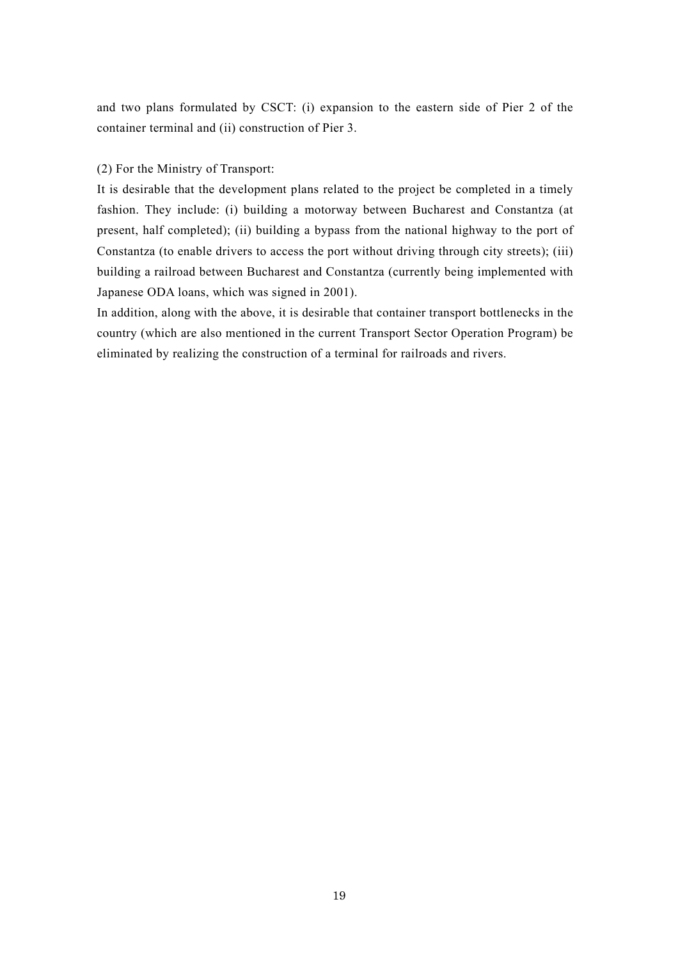and two plans formulated by CSCT: (i) expansion to the eastern side of Pier 2 of the container terminal and (ii) construction of Pier 3.

## (2) For the Ministry of Transport:

It is desirable that the development plans related to the project be completed in a timely fashion. They include: (i) building a motorway between Bucharest and Constantza (at present, half completed); (ii) building a bypass from the national highway to the port of Constantza (to enable drivers to access the port without driving through city streets); (iii) building a railroad between Bucharest and Constantza (currently being implemented with Japanese ODA loans, which was signed in 2001).

In addition, along with the above, it is desirable that container transport bottlenecks in the country (which are also mentioned in the current Transport Sector Operation Program) be eliminated by realizing the construction of a terminal for railroads and rivers.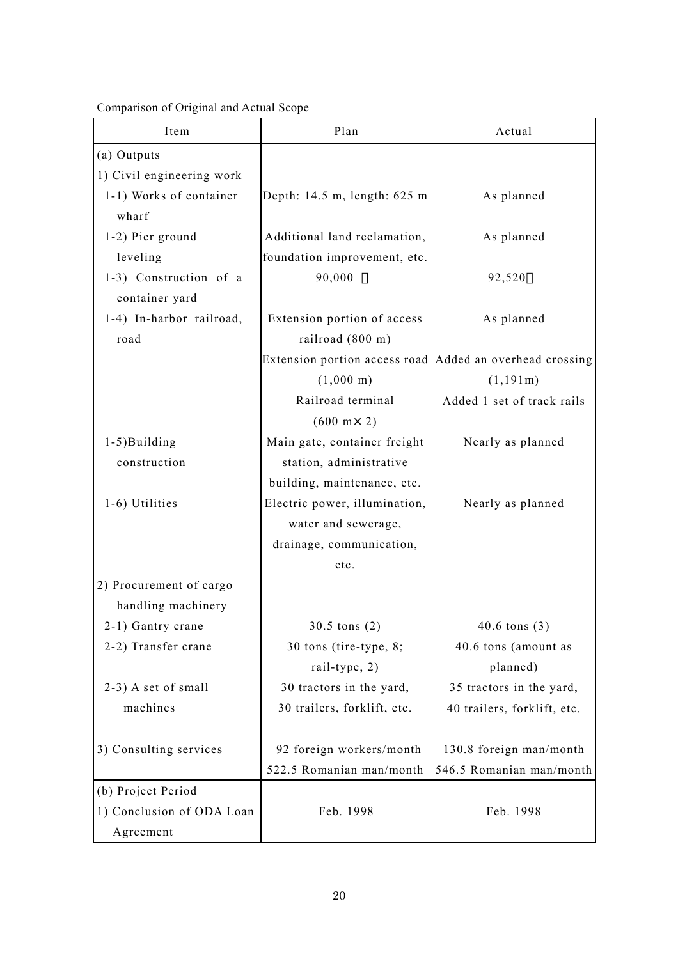Comparison of Original and Actual Scope

| Item                      | Plan                                                       | Actual                      |
|---------------------------|------------------------------------------------------------|-----------------------------|
| (a) Outputs               |                                                            |                             |
| 1) Civil engineering work |                                                            |                             |
| 1-1) Works of container   | Depth: 14.5 m, length: 625 m                               | As planned                  |
| wharf                     |                                                            |                             |
| 1-2) Pier ground          | Additional land reclamation,                               | As planned                  |
| leveling                  | foundation improvement, etc.                               |                             |
| 1-3) Construction of a    | 90,000                                                     | 92,520                      |
| container yard            |                                                            |                             |
| 1-4) In-harbor railroad,  | Extension portion of access                                | As planned                  |
| road                      | railroad (800 m)                                           |                             |
|                           | Extension portion access road   Added an overhead crossing |                             |
|                           | $(1,000 \text{ m})$                                        | (1,191m)                    |
|                           | Railroad terminal                                          | Added 1 set of track rails  |
|                           | $(600 \text{ m} \times 2)$                                 |                             |
| 1-5)Building              | Main gate, container freight                               | Nearly as planned           |
| construction              | station, administrative                                    |                             |
|                           | building, maintenance, etc.                                |                             |
| 1-6) Utilities            | Electric power, illumination,                              | Nearly as planned           |
|                           | water and sewerage,                                        |                             |
|                           | drainage, communication,                                   |                             |
|                           | etc.                                                       |                             |
| 2) Procurement of cargo   |                                                            |                             |
| handling machinery        |                                                            |                             |
| 2-1) Gantry crane         | $30.5 \text{ tons} (2)$                                    | $40.6 \text{ tons} (3)$     |
| 2-2) Transfer crane       | 30 tons (tire-type, $8$ ;                                  | 40.6 tons (amount as        |
|                           | rail-type, 2)                                              | planned)                    |
| 2-3) A set of small       | 30 tractors in the yard,                                   | 35 tractors in the yard,    |
| machines                  | 30 trailers, forklift, etc.                                | 40 trailers, forklift, etc. |
|                           |                                                            |                             |
| 3) Consulting services    | 92 foreign workers/month                                   | 130.8 foreign man/month     |
|                           | 522.5 Romanian man/month                                   | 546.5 Romanian man/month    |
| (b) Project Period        |                                                            |                             |
| 1) Conclusion of ODA Loan | Feb. 1998                                                  | Feb. 1998                   |
| Agreement                 |                                                            |                             |